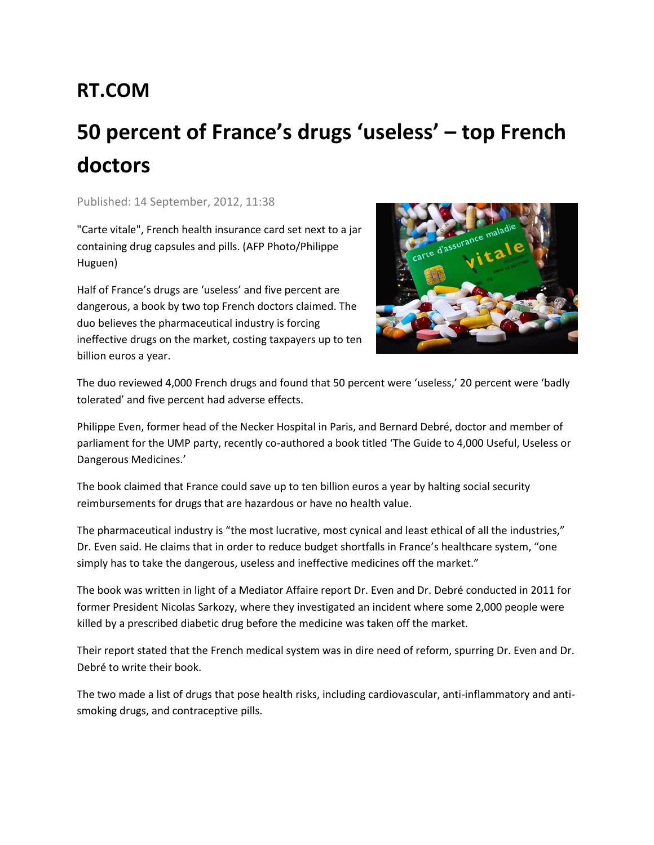## **RT.COM**

## **50 percent of France's drugs 'useless' – top French doctors**

Published: 14 September, 2012, 11:38

"Carte vitale", French health insurance card set next to a jar containing drug capsules and pills. (AFP Photo/Philippe Huguen)

Half of France's drugs are 'useless' and five percent are dangerous, a book by two top French doctors claimed. The duo believes the pharmaceutical industry is forcing ineffective drugs on the market, costing taxpayers up to ten billion euros a year.



The duo reviewed 4,000 French drugs and found that 50 percent were 'useless,' 20 percent were 'badly tolerated' and five percent had adverse effects.

Philippe Even, former head of the Necker Hospital in Paris, and Bernard Debré, doctor and member of parliament for the UMP party, recently co-authored a book titled 'The Guide to 4,000 Useful, Useless or Dangerous Medicines.'

The book claimed that France could save up to ten billion euros a year by halting social security reimbursements for drugs that are hazardous or have no health value.

The pharmaceutical industry is "the most lucrative, most cynical and least ethical of all the industries," Dr. Even said. He claims that in order to reduce budget shortfalls in France's healthcare system, "one simply has to take the dangerous, useless and ineffective medicines off the market."

The book was written in light of a Mediator Affaire report Dr. Even and Dr. Debré conducted in 2011 for former President Nicolas Sarkozy, where they investigated an incident where some 2,000 people were killed by a prescribed diabetic drug before the medicine was taken off the market.

Their report stated that the French medical system was in dire need of reform, spurring Dr. Even and Dr. Debré to write their book.

The two made a list of drugs that pose health risks, including cardiovascular, anti-inflammatory and antismoking drugs, and contraceptive pills.